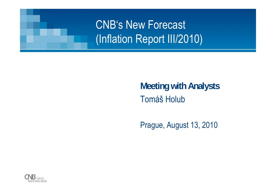

#### **Meeting with Analysts** Tomáš Holub

Prague, August 13, 2010

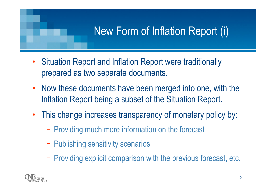### New Form of Inflation Report (i)

- • Situation Report and Inflation Report were traditionally prepared as two separate documents.
- $\bullet$  Now these documents have been merged into one, with the Inflation Report being a subset of the Situation Report.
- • This change increases transparency of monetary policy by:
	- −- Providing much more information on the forecast
	- −- Publishing sensitivity scenarios
	- −- Providing explicit comparison with the previous forecast, etc.

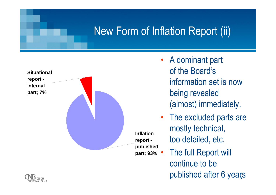#### New Form of Inflation Report (ii)



- A dominant part of the Board's information set is now being revealed (almost) immediately.
- • The excluded parts are mostly technical, too detailed, etc.
- published after 6 yea<u>r</u>s The full Report will continue to be

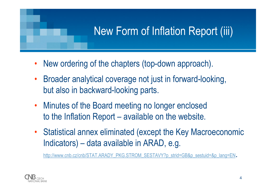### New Form of Inflation Report (iii)

- •New ordering of the chapters (top-down approach).
- • Broader analytical coverage not just in forward-looking, but also in backward-looking parts.
- • Minutes of the Board meeting no longer enclosed to the Inflation Report – available on the website.
- • Statistical annex eliminated (except the Key Macroeconomic Indicators) – data available in ARAD, e.g.

http://www.cnb.cz/cnb/STAT.ARADY\_PKG.STROM\_SESTAVY?p\_strid=GB&p\_sestuid=&p\_lang=EN.

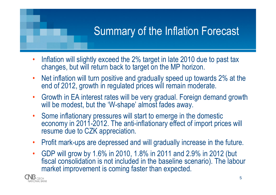### Summary of the Inflation Forecast

- • Inflation will slightly exceed the 2% target in late 2010 due to past tax changes, but will return back to target on the MP horizon.
- •• Net inflation will turn positive and gradually speed up towards 2% at the end of 2012, growth in regulated prices will remain moderate.
- Growth in EA interest rates will be very gradual. Foreign demand growth will be modest, but the 'W-shape' almost fades away.
- • Some inflationary pressures will start to emerge in the domestic economy in 2011-2012. The anti-inflationary effect of import prices will resume due to CZK appreciation.
- •Profit mark-ups are depressed and will gradually increase in the future.
- • GDP will grow by 1.6% in 2010, 1.8% in 2011 and 2.9% in 2012 (but fiscal consolidation is not included in the baseline scenario). The labour market improvement is coming faster than expected.

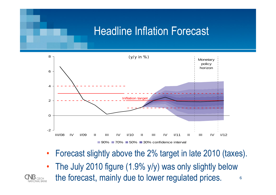#### Headline Inflation Forecast



- •Forecast slightly above the 2% target in late 2010 (taxes).
- •The July 2010 figure (1.9% y/y) was only slightly below



6 the forecast, mainly due to lower regulated prices.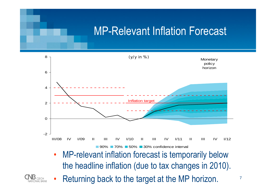#### MP-Relevant Inflation Forecast



• MP-relevant inflation forecast is temporarily below the headline inflation (due to tax changes in 2010).



•Returning back to the target at the MP horizon.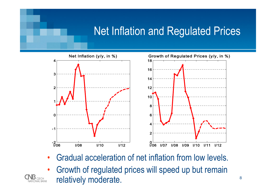#### Net Inflation and Regulated Prices



- •Gradual acceleration of net inflation from low levels.
- • Growth of regulated prices will speed up but remain relatively moderate.

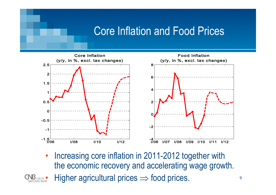#### Core Inflation and Food Prices



• Increasing core inflation in 2011-2012 together with the economic recovery and accelerating wage growth. •• Higher agricultural prices  $\Rightarrow$  food prices.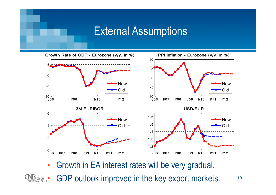#### External Assumptions



•Growth in EA interest rates will be very gradual.



10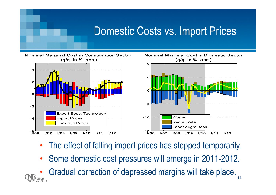#### Domestic Costs vs. Import Prices

Nominal Marginal Cost in Consumption Sector (q/q, in %, ann.)





- •The effect of falling import prices has stopped temporarily.
- •Some domestic cost pressures will emerge in 2011-2012.
- Gradual correction of depressed margins will take place. •**NATIONAL BANK**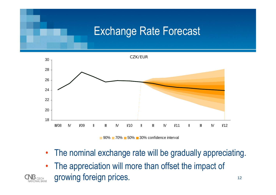#### Exchange Rate Forecast



90% 70% 50% 30% confidence interval

- $\bullet$ The nominal exchange rate will be gradually appreciating.
- • The appreciation will more than offset the impact of growing foreign prices.

CZECH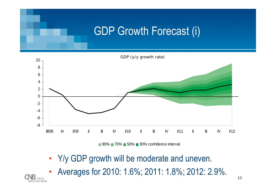#### GDP Growth Forecast (i)



90% **70% 50% 30% confidence interval** 

- $\bullet$ Y/y GDP growth will be moderate and uneven.
- •Averages for 2010: 1.6%; 2011: 1.8%; 2012: 2.9%.

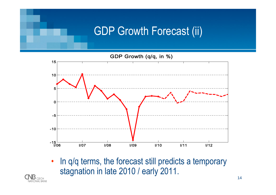#### GDP Growth Forecast (ii)

GDP Growth (q/q, in %)



• In q/q terms, the forecast still predicts a temporary stagnation in late 2010 / early 2011.

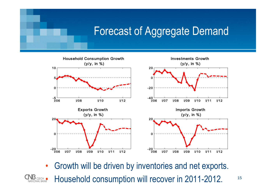#### Forecast of Aggregate Demand



 $\bullet$ Growth will be driven by inventories and net exports.

15

NU CZECH O Household consumption will recover in 2011-2012.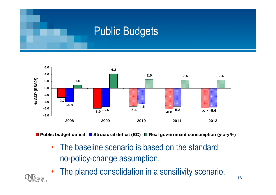#### Public Budgets



**Public budget deficit Structural deficit (EC) Real government consumption (y-o-y %)**

- • The baseline scenario is based on the standard no-policy-change assumption.
- •The planed consolidation in a sensitivity scenario.

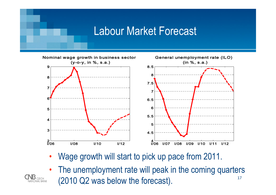#### Labour Market Forecast



- •Wage growth will start to pick up pace from 2011.
- 17• The unemployment rate will peak in the coming quarters (2010 Q2 was below the forecast).

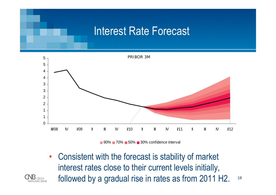#### Interest Rate Forecast



90% **70% 50% 30% confidence interval** 

18 • Consistent with the forecast is stability of market interest rates close to their current levels initially, followed by a gradual rise in rates as from 2011 H2.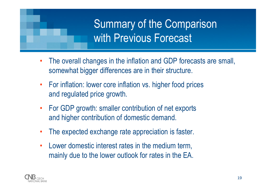# Summary of the Comparison with Previous Forecast

- • The overall changes in the inflation and GDP forecasts are small, somewhat bigger differences are in their structure.
- • For inflation: lower core inflation vs. higher food prices and regulated price growth.
- • For GDP growth: smaller contribution of net exports and higher contribution of domestic demand.
- •The expected exchange rate appreciation is faster.
- • Lower domestic interest rates in the medium term, mainly due to the lower outlook for rates in the EA.

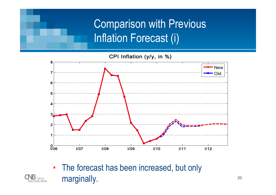# Comparison with Previous Inflation Forecast (i)

CPI Inflation (y/y, in %)



• The forecast has been increased, but only marginally.

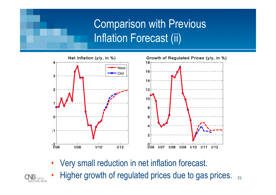# Comparison with Previous Inflation Forecast (ii)



•Very small reduction in net inflation forecast.

**NATIONAL BANK** 

• Higher growth of regulated prices due to gas prices.  $_{21}$ •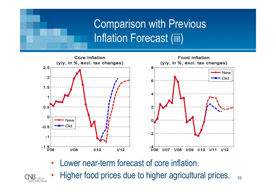## Comparison with Previous Inflation Forecast (iii)



•Lower near-term forecast of core inflation.

**CZECH NATIONAL BANK** 

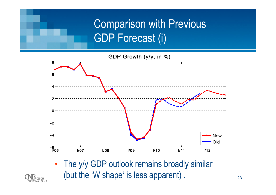# Comparison with Previous GDP Forecast (i)

GDP Growth (y/y, in %)



• The y/y GDP outlook remains broadly similar (but the 'W shape' is less apparent) .

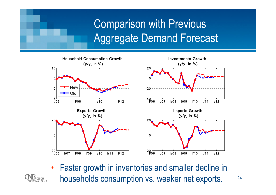# Comparison with Previous Aggregate Demand Forecast



• Faster growth in inventories and smaller decline in households consumption vs. weaker net exports.

**NATIONAL BANK** 

24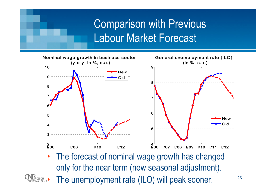# **Comparison with Previous** Labour Market Forecast



• The forecast of nominal wage growth has changed only for the near term (new seasonal adjustment). **IND** CZECH<br>NATIONAL BANK The unemployment rate (ILO) will peak sooner.

25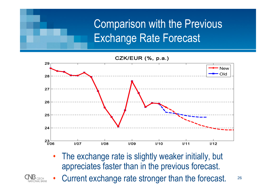# **Comparison with the Previous** Exchange Rate Forecast

CZK/EUR (%, p.a.)



• The exchange rate is slightly weaker initially, but appreciates faster than in the previous forecast.



26•Current exchange rate stronger than the forecast.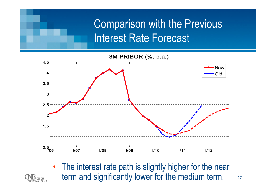# Comparison with the Previous Interest Rate Forecast

3M PRIBOR (%, p.a.)



27• The interest rate path is slightly higher for the near term and significantly lower for the medium term.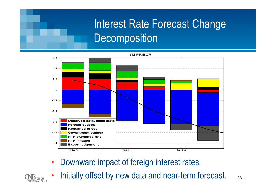# Interest Rate Forecast Change **Decomposition**



- •Downward impact of foreign interest rates.
- •Initially offset by new data and near-term forecast.

28

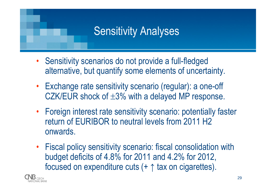### Sensitivity Analyses

- Sensitivity scenarios do not provide a full-fledged alternative, but quantify some elements of uncertainty.
- • Exchange rate sensitivity scenario (regular): a one-off CZK/EUR shock of  $\pm 3\%$  with a delayed MP response.
- • Foreign interest rate sensitivity scenario: potentially faster return of EURIBOR to neutral levels from 2011 H2 onwards.
- • Fiscal policy sensitivity scenario: fiscal consolidation with budget deficits of 4.8% for 2011 and 4.2% for 2012, focused on expenditure cuts (+ ↑ tax on cigarettes).

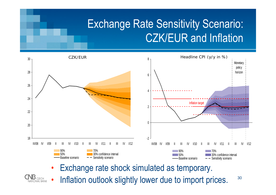### Exchange Rate Sensitivity Scenario: CZK/EUR and Inflation





30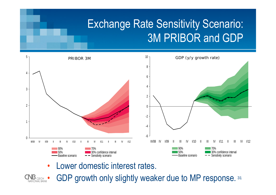### Exchange Rate Sensitivity Scenario: 3M PRIBOR and GDP



•Lower domestic interest rates.

31 **NB** CZECH O • GDP growth only slightly weaker due to MP response.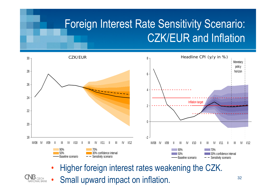### Foreign Interest Rate Sensitivity Scenario: CZK/EUR and Inflation



- •Higher foreign interest rates weakening the CZK.
- Small upward impact on inflation. •**NATIONAL BANK**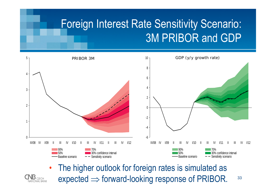### Foreign Interest Rate Sensitivity Scenario: 3M PRIBOR and GDP



 The higher outlook for foreign rates is simulated as expected  $\Rightarrow$  forward-looking response of PRIBOR.

•

**NATIONAL BANK** 

33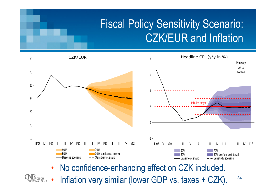### Fiscal Policy Sensitivity Scenario: CZK/EUR and Inflation





34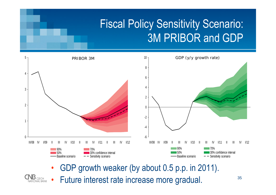# Fiscal Policy Sensitivity Scenario: 3M PRIBOR and GDP



- •GDP growth weaker (by about 0.5 p.p. in 2011).
- 

•

Future interest rate increase more gradual.